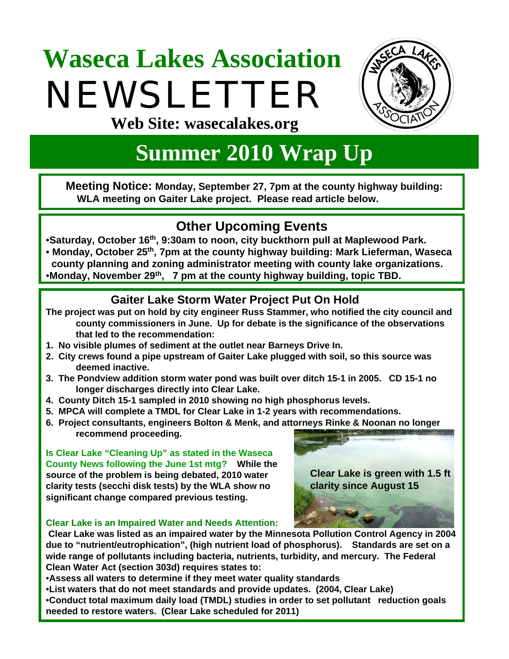# **Waseca Lakes Association**  NEWSLETTER



**Web Site: wasecalakes.org**

## **Summer 2010 Wrap Up**

**Meeting Notice: Monday, September 27, 7pm at the county highway building: WLA meeting on Gaiter Lake project. Please read article below.**

## **Other Upcoming Events**

•**Saturday, October 16th, 9:30am to noon, city buckthorn pull at Maplewood Park.**

• **Monday, October 25th, 7pm at the county highway building: Mark Lieferman, Waseca ccounty planning and zoning administrator meeting with county lake organizations.**  •**Monday, November 29th, 7 pm at the county highway building, topic TBD.**

#### **Gaiter Lake Storm Water Project Put On Hold**

- **The project was put on hold by city engineer Russ Stammer, who notified the city council and county commissioners in June. Up for debate is the significance of the observations that led to the recommendation:**
- **1. No visible plumes of sediment at the outlet near Barneys Drive In.**
- **2. City crews found a pipe upstream of Gaiter Lake plugged with soil, so this source was deemed inactive.**
- **3. The Pondview addition storm water pond was built over ditch 15-1 in 2005. CD 15-1 no longer discharges directly into Clear Lake.**
- **4. County Ditch 15-1 sampled in 2010 showing no high phosphorus levels.**
- **5. MPCA will complete a TMDL for Clear Lake in 1-2 years with recommendations.**
- **6. Project consultants, engineers Bolton & Menk, and attorneys Rinke & Noonan no longer recommend proceeding.**

**Is Clear Lake "Cleaning Up" as stated in the Waseca County News following the June 1st mtg? While the source of the problem is being debated, 2010 water clarity tests (secchi disk tests) by the WLA show no significant change compared previous testing.** 



#### **Clear Lake is an Impaired Water and Needs Attention:**

**Clear Lake was listed as an impaired water by the Minnesota Pollution Control Agency in 2004 due to "nutrient/eutrophication", (high nutrient load of phosphorus). Standards are set on a wide range of pollutants including bacteria, nutrients, turbidity, and mercury. The Federal Clean Water Act (section 303d) requires states to:**

•**Assess all waters to determine if they meet water quality standards** 

•**List waters that do not meet standards and provide updates. (2004, Clear Lake)**

•**Conduct total maximum daily load (TMDL) studies in order to set pollutant reduction goals needed to restore waters. (Clear Lake scheduled for 2011)**